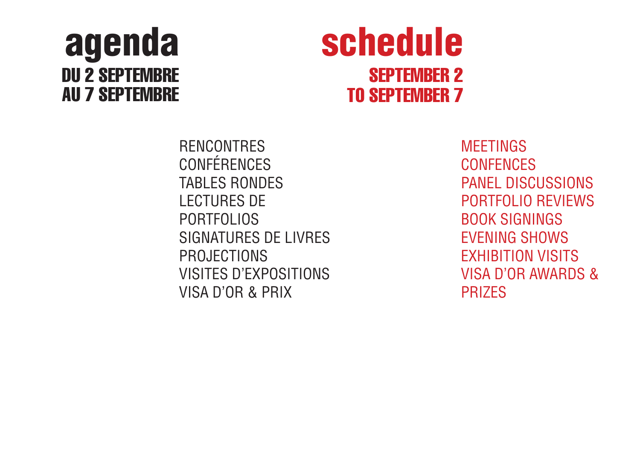## agenda DU 2 SEPTEMBRE AU 7 SEPTEMBRE

# schedule SEPTEMBER 2 TO SEPTEMBER 7

RENCONTRES CONFÉRENCES TABLES RONDES LECTURES DE PORTFOLIOS SIGNATURES DE LIVRES PROJECTIONS VISITES D'EXPOSITIONS VISA D'OR & PRIX

**MEETINGS CONFENCES** PANEL DISCUSSIONS PORTFOLIO REVIEWS BOOK SIGNINGS EVENING SHOWS EXHIBITION VISITS VISA D'OR AWARDS & PRIZES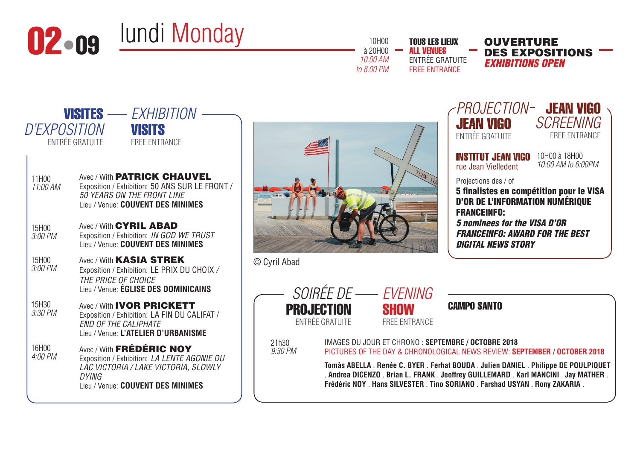

*to 8:00 PM*

TOUS LES LIEUX ALL VENUES ENTRÉE GRATUITE FREE ENTRANCE

DES EXPOSITIONS *EXHIBITIONS OPEN*

| <i>D'EXPOSITION</i><br><b>VISITS</b><br>ENTRÉE GRATUITE<br><b>FREE ENTRANCE</b><br>Avec / With <b>PATRICK CHAUVEL</b><br>11H00<br>Exposition / Exhibition: 50 ANS SUR LE FRONT /<br>11:00 AM<br><b>50 YEARS ON THE FRONT LINE</b><br>Lieu / Venue: COUVENT DES MINIMES<br>Avec / With <b>CYRIL ABAD</b><br>15H00<br>Exposition / Exhibition: IN GOD WE TRUST<br>3:00 PM<br>Lieu / Venue: COUVENT DES MINIMES<br>15H00<br>Avec / With <b>KASIA STREK</b><br>$3:00$ PM<br>Exposition / Exhibition: LE PRIX DU CHOIX /<br>THE PRICE OF CHOICE<br>Lieu / Venue: ÉGLISE DES DOMINICAINS<br>15H30<br>Avec / With <b>IVOR PRICKETT</b><br>3:30 PM<br>Exposition / Exhibition: LA FIN DU CALIFAT /<br><b>END OF THE CALIPHATE</b><br>Lieu / Venue: L'ATELIER D'URBANISME<br>Avec / With FRÉDÉRIC NOY<br>16H00<br>4:00 PM<br>Exposition / Exhibition: LA LENTE AGONIE DU<br>LAC VICTORIA / LAKE VICTORIA, SLOWLY |                 |
|---------------------------------------------------------------------------------------------------------------------------------------------------------------------------------------------------------------------------------------------------------------------------------------------------------------------------------------------------------------------------------------------------------------------------------------------------------------------------------------------------------------------------------------------------------------------------------------------------------------------------------------------------------------------------------------------------------------------------------------------------------------------------------------------------------------------------------------------------------------------------------------------------------|-----------------|
|                                                                                                                                                                                                                                                                                                                                                                                                                                                                                                                                                                                                                                                                                                                                                                                                                                                                                                         |                 |
|                                                                                                                                                                                                                                                                                                                                                                                                                                                                                                                                                                                                                                                                                                                                                                                                                                                                                                         |                 |
|                                                                                                                                                                                                                                                                                                                                                                                                                                                                                                                                                                                                                                                                                                                                                                                                                                                                                                         |                 |
|                                                                                                                                                                                                                                                                                                                                                                                                                                                                                                                                                                                                                                                                                                                                                                                                                                                                                                         | © Cyril Aba     |
|                                                                                                                                                                                                                                                                                                                                                                                                                                                                                                                                                                                                                                                                                                                                                                                                                                                                                                         | P               |
| DYING<br>Lieu / Venue: COUVENT DES MINIMES                                                                                                                                                                                                                                                                                                                                                                                                                                                                                                                                                                                                                                                                                                                                                                                                                                                              | 21h30<br>9:30P1 |



| Projection- Jean Vigo<br><b>JEAN VIGO</b><br><b>ENTRÉE GRATUITE</b>                                                                                                                                                                           | SCREENING<br><b>FREE ENTRANCE</b>   |
|-----------------------------------------------------------------------------------------------------------------------------------------------------------------------------------------------------------------------------------------------|-------------------------------------|
| <b>INSTITUT JEAN VIGO</b><br>rue Jean Vielledent                                                                                                                                                                                              | 10H00 à 18H00<br>10:00 AM to 6:00PM |
| Projections des / of<br>5 finalistes en compétition pour le VISA<br><b>D'OR DE L'INFORMATION NUMÉRIQUE</b><br><b>FRANCEINFO:</b><br>5 nominees for the VISA D'OR<br><i><b>FRANCEINFO: AWARD FOR THE BEST</b></i><br><b>DIGITAL NEWS STORY</b> |                                     |

ad



FREE ENTRANCE

*9:30 PM*

IMAGES DU JOUR ET CHRONO : **SEPTEMBRE / OCTOBRE 2018** PICTURES OF THE DAY & CHRONOLOGICAL NEWS REVIEW: **SEPTEMBER / OCTOBER 2018**

**Tomàs ABELLA** . **Renée C. BYER** . **Ferhat BOUDA** . **Julien DANIEL** . **Philippe DE POULPIQUET** . **Andrea DICENZO** . **Brian L. FRANK** . **Jeoffrey GUILLEMARD** . **Karl MANCINI** . **Jay MATHER** . **Frédéric NOY** . **Hans SILVESTER** . **Tino SORIANO** . **Farshad USYAN** . **Rony ZAKARIA** .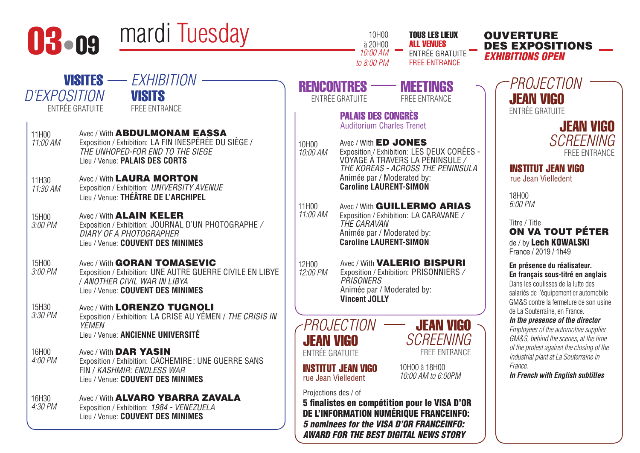

- Lieu / Venue: **PALAIS DES CORTS** 11H30 Avec / With LAURA MORTON
- *11:30 AM*  Exposition / Exhibition: *UNIVERSITY AVENUE* Lieu / Venue: **THÉÂTRE DE L'ARCHIPEL**
- 15H00 *3:00 PM*  Avec / With **ALAIN KELER** Exposition / Exhibition: JOURNAL D'UN PHOTOGRAPHE */ DIARY OF A PHOTOGRAPHER* Lieu / Venue: **COUVENT DES MINIMES**
- 15H00 *3:00 PM*  Avec / With **GORAN TOMASEVIC** Exposition / Exhibition: UNE AUTRE GUERRE CIVILE EN LIBYE / *ANOTHER CIVIL WAR IN LIBYA* Lieu / Venue: **COUVENT DES MINIMES**
- 15H30 *3:30 PM*  Avec / With LORENZO TUGNOLI Exposition / Exhibition: LA CRISE AU YÉMEN / *THE CRISIS IN YEMEN* Lieu / Venue: **ANCIENNE UNIVERSITÉ**
- 16H00 *4:00 PM*  Avec / With DAR YASIN Exposition / Exhibition: CACHEMIRE : UNE GUERRE SANS FIN / *KASHMIR: ENDLESS WAR* Lieu / Venue: **COUVENT DES MINIMES**
- 16H30 *4:30 PM*  Avec / With **ALVARO YBARRA ZAVALA** Exposition / Exhibition: *1984 - VENEZUELA* Lieu / Venue: **COUVENT DES MINIMES**

|                   | 10:00 AM<br>to 8:00 PM                                        | ENTRÉE GRATUITE<br><b>FREE ENTRANCE</b>                                                                            |  |
|-------------------|---------------------------------------------------------------|--------------------------------------------------------------------------------------------------------------------|--|
|                   | <b>ENTRÉE GRATUITE</b>                                        | <b>RENCONTRES - MEETINGS</b><br><b>FREE ENTRANCE</b>                                                               |  |
|                   | <b>PALAIS DES CONGRÈS</b><br><b>Auditorium Charles Trenet</b> |                                                                                                                    |  |
| 10H00<br>10:00 AM | Avec / With <b>ED JONES</b><br>Animée par / Moderated by:     | Exposition / Exhibition: LES DEUX CORÉES -<br>VOYAGE À TRAVERS LA PÉNINSULE /<br>THE KOREAS - ACROSS THE PENINSULA |  |

10H00 à 20H00 *10:00 AM* TOUS LES LIEUX ALL VENUES

11H00 *11:00 AM*  Avec / With **GUILLERMO ARIAS** Exposition / Exhibition: LA CARAVANE */ THE CARAVAN* Animée par / Moderated by: **Caroline LAURENT-SIMON**

**Caroline LAURENT-SIMON**

12H00 *12:00 PM*  Avec / With **VALERIO BISPURI** Exposition / Exhibition: PRISONNIERS */ PRISONERS* Animée par / Moderated by: **Vincent JOLLY**



> *SCREENING* FREE ENTRANCE

10H00 à 18H00 *10:00 AM to 6:00PM*

JEAN VIGO

DES EXPOSITIONS *EXHIBITIONS OPEN PROJECTION*

> JEAN VIGO ENTRÉE GRATUITE JEAN VIGO

> > *SCREENING* FREE ENTRANCE

INSTITUT JEAN VIGO rue Jean Vielledent

18H00 *6:00 PM* 

Titre / Title ON VA TOUT PÉTER de / by Lech KOWALSKI France / 2019 / 1h49

**En présence du réalisateur. En français sous-titré en anglais** Dans les coulisses de la lutte des salariés de l'équipementier automobile GM&S contre la fermeture de son usine de La Souterraine, en France.

*In the presence of the director Employees of the automotive supplier GM&S, behind the scenes, at the time of the protest against the closing of the industrial plant at La Souterraine in France.*

*In French with English subtitles*

rue Jean Vielledent Projections des / of

INSTITUT JEAN VIGO

5 finalistes en compétition pour le VISA D'OR DE L'INFORMATION NUMÉRIQUE FRANCEINFO: *5 nominees for the VISA D'OR FRANCEINFO: AWARD FOR THE BEST DIGITAL NEWS STORY*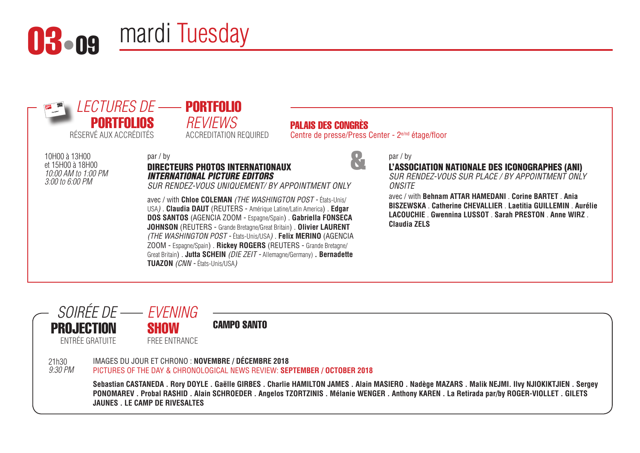



*10:00 AM to 1:00 PM* 

## *REVIEWS* ACCREDITATION REQUIRED

PALAIS DES CONGRÈS

Centre de presse/Press Center - 2e/nd étage/floor

&



## par / by

L'ASSOCIATION NATIONALE DES ICONOGRAPHES (ANI)

*SUR RENDEZ-VOUS SUR PLACE / BY APPOINTMENT ONLY ONSITE*

avec / with **Behnam ATTAR HAMEDANI** . **Corine BARTET** . **Ania BISZEWSKA** . **Catherine CHEVALLIER** . **Laetitia GUILLEMIN** . **Aurélie LACOUCHIE** . **Gwennina LUSSOT** . **Sarah PRESTON** . **Anne WIRZ** . **Claudia ZELS**

10H00 à 13H00 et 15H00 à 18H00 *3:00 to 6:00 PM*

## par / by DIRECTEURS PHOTOS INTERNATIONAUX *INTERNATIONAL PICTURE EDITORS*

*SUR RENDEZ-VOUS UNIQUEMENT/ BY APPOINTMENT ONLY*

avec / with **Chloe COLEMAN** *(THE WASHINGTON POST -* États-Unis/ USA*)* . **Claudia DAUT** (REUTERS - Amérique Latine/Latin America) . **Edgar DOS SANTOS** (AGENCIA ZOOM - Espagne/Spain) . **Gabriella FONSECA JOHNSON** (REUTERS - Grande Bretagne/Great Britain) . **Olivier LAURENT** *(THE WASHINGTON POST -* États-Unis/USA*)* . **Felix MERINO** (AGENCIA ZOOM - Espagne/Spain) . **Rickey ROGERS** (REUTERS - Grande Bretagne/ Great Britain) . **Jutta SCHEIN** *(DIE ZEIT -* Allemagne/Germany) **. Bernadette TUAZON** *(CNN -* États-Unis/USA*)*

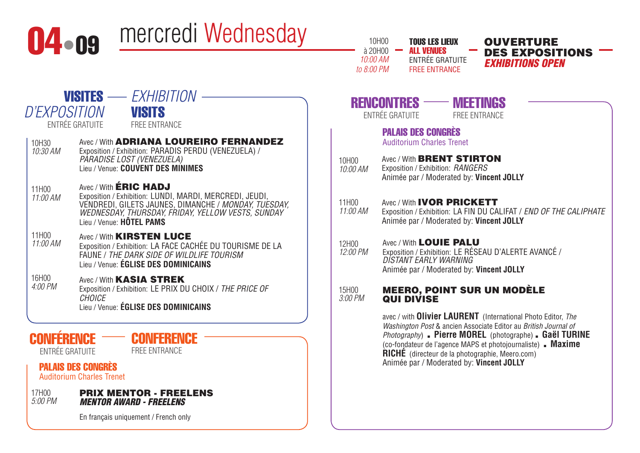

En français uniquement / French only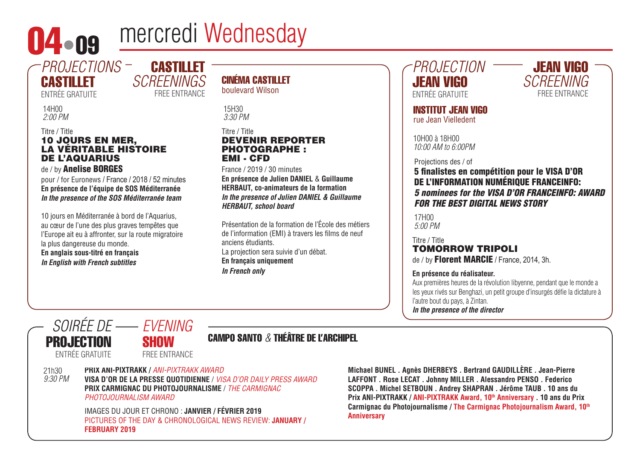

# 04 · 09 mercredi Wednesday

CASTILLET

FREE ENTRANCE

*SCREENINGS*

## *PROJECTIONS* **CASTILLET**

ENTRÉE GRATUITE

14H00 *2:00 PM* 

### Titre / Title 10 JOURS EN MER, LA VÉRITABLE HISTOIRE DE L'AQUARIUS de / by Anelise BORGES

pour / for Euronews / France / 2018 / 52 minutes **En présence de l'équipe de SOS Méditerranée** *In the presence of the SOS Méditerranée team*

10 jours en Méditerranée à bord de l'Aquarius, au cœur de l'une des plus graves tempêtes que l'Europe ait eu à affronter, sur la route migratoire la plus dangereuse du monde. **En anglais sous-titré en français** *In English with French subtitles*

## CINÉMA CASTILLET boulevard Wilson

15H30 *3:30 PM* 

## Titre / Title DEVENIR REPORTER PHOTOGRAPHE : EMI - CFD

France / 2019 / 30 minutes **En présence de Julien DANIEL** & **Guillaume HERBAUT, co-animateurs de la formation** *In the presence of Julien DANIEL & Guillaume HERBAUT, school board*

Présentation de la formation de l'École des métiers de l'information (EMI) à travers les films de neuf anciens étudiants. La projection sera suivie d'un débat. **En français uniquement** *In French only*

*PROJECTION* JEAN VIGO ENTRÉE GRATUITE



INSTITUT JEAN VIGO rue Jean Vielledent

10H00 à 18H00 *10:00 AM to 6:00PM*

Projections des / of

## 5 finalistes en compétition pour le VISA D'OR DE L'INFORMATION NUMÉRIQUE FRANCEINFO: *5 nominees for the VISA D'OR FRANCEINFO: AWARD FOR THE BEST DIGITAL NEWS STORY*

17H00 *5:00 PM* 

## Titre / Title TOMORROW TRIPOLI de / by **Florent MARCIE** / France, 2014, 3h.

## **En présence du réalisateur.**

Aux premières heures de la révolution libyenne, pendant que le monde a les yeux rivés sur Benghazi, un petit groupe d'insurgés défie la dictature à l'autre bout du pays, à Zintan.

*In the presence of the director*



## CAMPO SANTO *&* THÉÂTRE DE L'ARCHIPEL

**PRIX ANI-PIXTRAKK /** *ANI-PIXTRAKK AWARD*

**VISA D'OR DE LA PRESSE QUOTIDIENNE** / *VISA D'OR DAILY PRESS AWARD* **PRIX CARMIGNAC DU PHOTOJOURNALISME** / *THE CARMIGNAC* 

> IMAGES DU JOUR ET CHRONO : **JANVIER / FÉVRIER 2019** PICTURES OF THE DAY & CHRONOLOGICAL NEWS REVIEW: **JANUARY / FEBRUARY 2019**

**Michael BUNEL . Agnès DHERBEYS . Bertrand GAUDILLÈRE . Jean-Pierre LAFFONT . Rose LECAT . Johnny MILLER . Alessandro PENSO . Federico SCOPPA . Michel SETBOUN . Andrey SHAPRAN . Jérôme TAUB . 10 ans du**  Prix ANI-PIXTRAKK / ANI-PIXTRAKK Award, 10<sup>th</sup> Anniversary . 10 ans du Prix **Carmignac du Photojournalisme / The Carmignac Photojournalism Award, 10th Anniversary**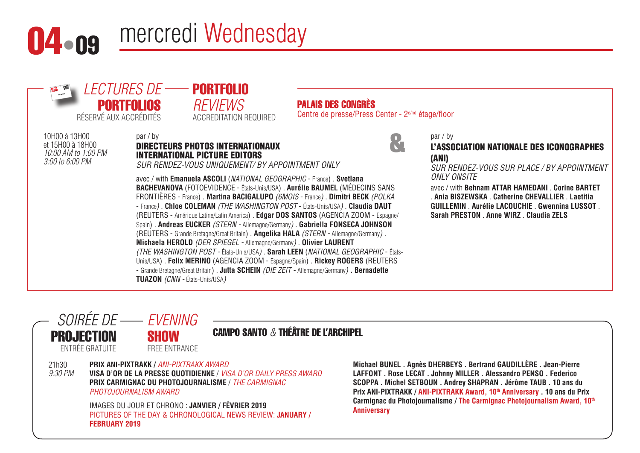

# 04 · ng mercredi Wednesday



#### 21h30 *9:30 PM* CAMPO SANTO *&* THÉÂTRE DE L'ARCHIPEL **PRIX ANI-PIXTRAKK /** *ANI-PIXTRAKK AWARD* **VISA D'OR DE LA PRESSE QUOTIDIENNE** / *VISA D'OR DAILY PRESS AWARD* **PRIX CARMIGNAC DU PHOTOJOURNALISME** / *THE CARMIGNAC PHOTOJOURNALISM AWARD* IMAGES DU JOUR ET CHRONO : **JANVIER / FÉVRIER 2019** PICTURES OF THE DAY & CHRONOLOGICAL NEWS REVIEW: **JANUARY / FEBRUARY 2019** *SOIRÉE DE EVENING* PROJECTION ENTRÉE GRATUITE **SHOW** FREE ENTRANCE

**Michael BUNEL . Agnès DHERBEYS . Bertrand GAUDILLÈRE . Jean-Pierre LAFFONT . Rose LECAT . Johnny MILLER . Alessandro PENSO . Federico SCOPPA . Michel SETBOUN . Andrey SHAPRAN . Jérôme TAUB . 10 ans du**  Prix ANI-PIXTRAKK / ANI-PIXTRAKK Award, 10<sup>th</sup> Anniversary . 10 ans du Prix **Carmignac du Photojournalisme / The Carmignac Photojournalism Award, 10th Anniversary**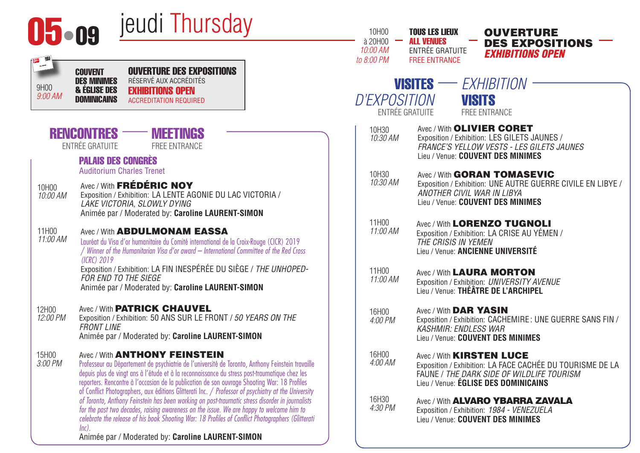| jeudi Thursday<br>$05 - 09$                                                                                                                                                                                                                                                                                                                                                                                                                                          | 10H00<br><b>TOUS LES LIEUX</b><br><b>OUVERTURE</b><br>$\lambda$ 20H00 –<br><b>ALL VENUES</b><br><b>DES EXPOSITIONS</b>                                                                                |
|----------------------------------------------------------------------------------------------------------------------------------------------------------------------------------------------------------------------------------------------------------------------------------------------------------------------------------------------------------------------------------------------------------------------------------------------------------------------|-------------------------------------------------------------------------------------------------------------------------------------------------------------------------------------------------------|
| <b>OUVERTURE DES EXPOSITIONS</b><br><b>COUVENT</b>                                                                                                                                                                                                                                                                                                                                                                                                                   | 10:00 AM<br><b>ENTRÉE GRATUITE</b><br><b>EXHIBITIONS OPEN</b><br>to 8:00 PM<br><b>FREE ENTRANCE</b>                                                                                                   |
| RÉSERVÉ AUX ACCRÉDITÉS<br><b>DES MINIMES</b><br>9H00<br><b>&amp; ÉGLISE DES</b><br><b>EXHIBITIONS OPEN</b><br>9:00 AM<br><b>DOMINICAINS</b><br><b>ACCREDITATION REQUIRED</b>                                                                                                                                                                                                                                                                                         | $VISITES \longrightarrow EXHIBITION$<br><b>D'EXPOSITION</b><br><b>VISITS</b><br><b>ENTRÉE GRATUITE</b><br><b>FREE ENTRANCE</b>                                                                        |
| <b>RENCONTRES</b><br><b>MEETINGS</b><br>ENTRÉE GRATUITE<br><b>FREE ENTRANCE</b>                                                                                                                                                                                                                                                                                                                                                                                      | Avec / With <b>OLIVIER CORET</b><br>10H30<br>10:30 AM<br>Exposition / Exhibition: LES GILETS JAUNES /<br>FRANCE'S YELLOW VESTS - LES GILETS JAUNES<br>Lieu / Venue: COUVENT DES MINIMES               |
| <b>PALAIS DES CONGRÈS</b><br><b>Auditorium Charles Trenet</b><br>Avec / With FRÉDÉRIC NOY<br>10H00<br>Exposition / Exhibition: LA LENTE AGONIE DU LAC VICTORIA /<br><i>10:00 AM</i><br>LAKE VICTORIA, SLOWLY DYING                                                                                                                                                                                                                                                   | 10H30<br>Avec / With <b>GORAN TOMASEVIC</b><br>10:30 AM<br>Exposition / Exhibition: UNE AUTRE GUERRE CIVILE EN LIBYE /<br>ANOTHER CIVIL WAR IN LIBYA<br>Lieu / Venue: COUVENT DES MINIMES             |
| Animée par / Moderated by: Caroline LAURENT-SIMON<br>11H00<br>Avec / With <b>ABDULMONAM EASSA</b><br>11:00 AM<br>Lauréat du Visa d'or humanitaire du Comité international de la Croix-Rouge (CICR) 2019<br>/ Winner of the Humanitarian Visa d'or award - International Committee of the Red Cross<br>(ICRC) 2019                                                                                                                                                    | 11H00<br>Avec / With LORENZO TUGNOLI<br>11:00 AM<br>Exposition / Exhibition: LA CRISE AU YÉMEN /<br>THE CRISIS IN YEMEN<br>Lieu / Venue: ANCIENNE UNIVERSITÉ                                          |
| Exposition / Exhibition: LA FIN INESPÉRÉE DU SIÈGE / THE UNHOPED-<br><b>FOR END TO THE SIEGE</b><br>Animée par / Moderated by: Caroline LAURENT-SIMON                                                                                                                                                                                                                                                                                                                | 11H00<br><b>Avec / With LAURA MORTON</b><br>11:00 AM<br>Exposition / Exhibition: UNIVERSITY AVENUE<br>Lieu / Venue: THÉÂTRE DE L'ARCHIPEL                                                             |
| Avec / With <b>PATRICK CHAUVEL</b><br>12H00<br>Exposition / Exhibition: 50 ANS SUR LE FRONT / 50 YEARS ON THE<br><i>12:00 PM</i><br><b>FRONT LINE</b><br>Animée par / Moderated by: Caroline LAURENT-SIMON                                                                                                                                                                                                                                                           | Avec / With DAR YASIN<br>16H00<br>Exposition / Exhibition: CACHEMIRE: UNE GUERRE SANS FIN /<br>4:00 PM<br><b>KASHMIR: ENDLESS WAR</b><br>Lieu / Venue: COUVENT DES MINIMES                            |
| Avec / With <b>ANTHONY FEINSTEIN</b><br>15H00<br>3:00 PM<br>Professeur au Département de psychiatrie de l'université de Toronto, Anthony Feinstein travaille<br>depuis plus de vingt ans à l'étude et à la reconnaissance du stress post-traumatique chez les<br>reporters. Rencontre à l'occasion de la publication de son ouvrage Shooting War: 18 Profiles<br>of Conflict Photographers, aux éditions Glitterati Inc. / Professor of psychiatry at the University | 16H00<br>Avec / With <b>KIRSTEN LUCE</b><br>4:00 AM<br>Exposition / Exhibition: LA FACE CACHÉE DU TOURISME DE LA<br>FAUNE / THE DARK SIDE OF WILDLIFE TOURISM<br>Lieu / Venue: EGLISE DES DOMINICAINS |
| of Toronto, Anthony Feinstein has been working on post-traumatic stress disorder in journalists<br>for the past two decades, raising awareness on the issue. We are happy to welcome him to<br>celebrate the release of his book Shooting War: 18 Profiles of Conflict Photographers (Glitterati<br>$lnc$ ).<br>Animée par / Moderated by: Caroline LAURENT-SIMON                                                                                                    | 16H30<br>Avec / With <b>ALVARO YBARRA ZAVALA</b><br>4:30 PM<br>Exposition / Exhibition: 1984 - VENEZUELA<br>Lieu / Venue: COUVENT DES MINIMES                                                         |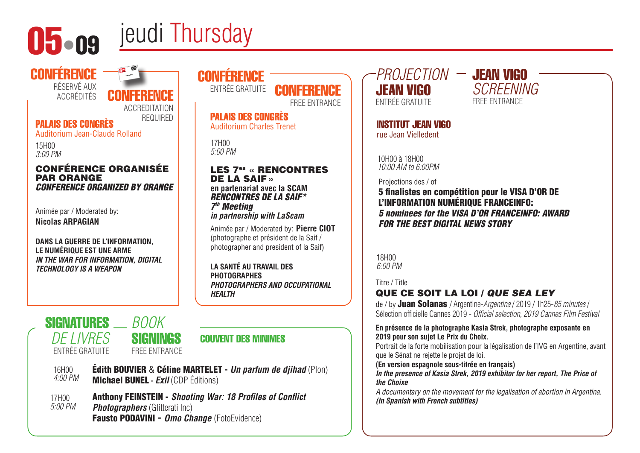

**CONFÉRENCE** 

# 05•09 jeudi Thursday

## PALAIS DES CONGRÈS REQUIRED

RÉSERVÉ AUX<br>ACCRÉDITÉS

Auditorium Jean-Claude Rolland

15H00 *3:00 PM* 

### CONFÉRENCE ORGANISÉE PAR ORANGE *CONFERENCE ORGANIZED BY ORANGE*

**CONFFRENCE** 

ACCREDITATION

*BOOK*

Animée par / Moderated by: **Nicolas ARPAGIAN**

**SIGNATURES** 

*DE LIVRES*

**DANS LA GUERRE DE L'INFORMATION, LE NUMÉRIQUE EST UNE ARME** *IN THE WAR FOR INFORMATION, DIGITAL TECHNOLOGY IS A WEAPON*

## **CONFÉRENCE** ENTRÉE GRATUITE

FREE ENTRANCE

PALAIS DES CONGRÈS Auditorium Charles Trenet

17H00 *5:00 PM* 

### LES 7es « RENCONTRES DE LA SAIF» **en partenariat avec la SCAM**

*RENCONTRES DE LA SAIF\* 7th Meeting in partnership with LaScam*

Animée par / Moderated by: **Pierre CIOT**  (photographe et président de la Saif / photographer and president of la Saif)

**LA SANTÉ AU TRAVAIL DES PHOTOGRAPHES**  *PHOTOGRAPHERS AND OCCUPATIONAL HEALTH* 

## COUVENT DES MINIMES

ENTRÉE GRATUITE

## **SIGNINGS** FREE ENTRANCE

16H00 *4:00 PM*  Édith BOUVIER & Céline MARTELET **-** *Un parfum de djihad* (Plon) Michael BUNEL **-** *Exil* (CDP Éditions)

17H00 *5:00 PM*  Anthony FEINSTEIN - *Shooting War: 18 Profiles of Conflict Photographers* (Glitterati Inc) Fausto PODAVINI **-** *Omo Change* (FotoEvidence)

*PROJECTION* JEAN VIGO JEAN VIGO ENTRÉE GRATUITE

INSTITUT JEAN VIGO rue Jean Vielledent

10H00 à 18H00 *10:00 AM to 6:00PM*

Projections des / of

5 finalistes en compétition pour le VISA D'OR DE L'INFORMATION NUMÉRIQUE FRANCEINFO: *5 nominees for the VISA D'OR FRANCEINFO: AWARD FOR THE BEST DIGITAL NEWS STORY*

18H00 *6:00 PM* 

Titre / Title

## QUE CE SOIT LA LOI / *QUE SEA LEY*

de / by Juan Solanas / Argentine-*Argentina* / 2019 / 1h25-*85 minutes* / Sélection officielle Cannes 2019 - *Official selection, 2019 Cannes Film Festival*

### **En présence de la photographe Kasia Strek, photographe exposante en 2019 pour son sujet Le Prix du Choix.**

Portrait de la forte mobilisation pour la légalisation de l'IVG en Argentine, avant que le Sénat ne rejette le projet de loi.

**(En version espagnole sous-titrée en français)**

*In the presence of Kasia Strek, 2019 exhibitor for her report, The Price of the Choixe*

*A documentary on the movement for the legalisation of abortion in Argentina. (In Spanish with French subtitles)*

*SCREENING* FREE ENTRANCE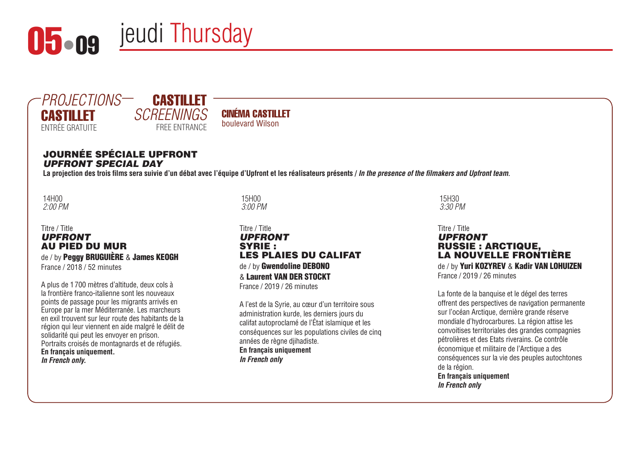



## CASTILLET *SCREENINGS* FREE ENTRANCE

## CINÉMA CASTILLET boulevard Wilson

## Journée spéciale Upfront *Upfront special day*

La projection des trois films sera suivie d'un débat avec l'équipe d'Upfront et les réalisateurs présents / *In the presence of the filmakers and Upfront team*.

14H00 *2:00 PM* 

### Titre / Title *UPFRONT* Au pied du mur de / by Peggy BRUGUIÈRE & James KEOGH France / 2018 / 52 minutes

A plus de 1700 mètres d'altitude, deux cols à la frontière franco-italienne sont les nouveaux points de passage pour les migrants arrivés en Europe par la mer Méditerranée. Les marcheurs en exil trouvent sur leur route des habitants de la région qui leur viennent en aide malgré le délit de solidarité qui peut les envoyer en prison. Portraits croisés de montagnards et de réfugiés. **En français uniquement.**  *In French only.*

15H00 *3:00 PM* 

### Titre / Title *Upfront* Syrie : les plaies du califaT de / by Gwendoline DEBONO & Laurent Van der Stockt France / 2019 / 26 minutes

A l'est de la Syrie, au cœur d'un territoire sous administration kurde, les derniers jours du califat autoproclamé de l'État islamique et les conséquences sur les populations civiles de cinq années de règne djihadiste. **En français uniquement** *In French only*

15H30 *3:30 PM* 

### Titre / Title *Upfront* Russie : Arctique, la nouvelle frontière de / by Yuri KOZYREV & Kadir VAN LOHUIZEN

France / 2019 / 26 minutes

La fonte de la banquise et le dégel des terres offrent des perspectives de navigation permanente sur l'océan Arctique, dernière grande réserve mondiale d'hydrocarbures. La région attise les convoitises territoriales des grandes compagnies pétrolières et des Etats riverains. Ce contrôle économique et militaire de l'Arctique a des conséquences sur la vie des peuples autochtones de la région.

**En français uniquement** *In French only*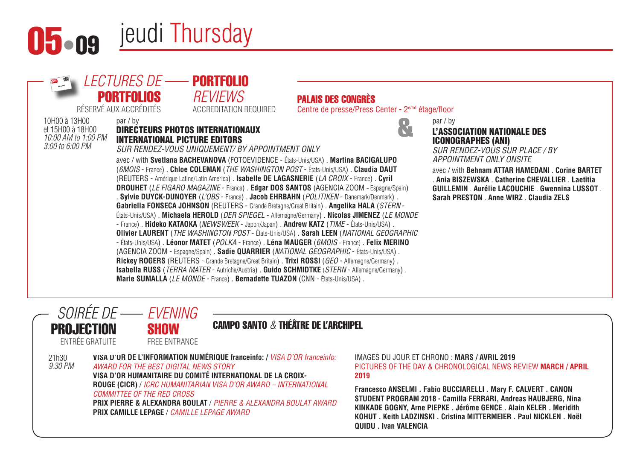



#### 21h30 *9:30 PM* CAMPO SANTO *&* THÉÂTRE DE L'ARCHIPEL **VISA D'OR DE L'INFORMATION NUMÉRIQUE franceinfo: /** *VISA D'OR franceinfo: AWARD FOR THE BEST DIGITAL NEWS STORY* **VISA D'OR HUMANITAIRE DU COMITÉ INTERNATIONAL DE LA CROIX-ROUGE (CICR)** / *ICRC HUMANITARIAN VISA D'OR AWARD – INTERNATIONAL COMMITTEE OF THE RED CROSS* **PRIX PIERRE & ALEXANDRA BOULAT** / *PIERRE & ALEXANDRA BOULAT AWARD* **PRIX CAMILLE LEPAGE** / *CAMILLE LEPAGE AWARD* **2019 QUIDU . Ivan VALENCIA** *SOIRÉE DE EVENING* **PROJECTION** ENTRÉE GRATUITE **SHOW** FREE ENTRANCE

IMAGES DU JOUR ET CHRONO : **MARS / AVRIL 2019** PICTURES OF THE DAY & CHRONOLOGICAL NEWS REVIEW **MARCH / APRIL** 

**Francesco ANSELMI . Fabio BUCCIARELLI . Mary F. CALVERT . CANON STUDENT PROGRAM 2018 - Camilla FERRARI, Andreas HAUBJERG, Nina KINKADE GOGNY, Arne PIEPKE . Jérôme GENCE . Alain KELER . Meridith KOHUT . Keith LADZINSKI . Cristina MITTERMEIER . Paul NICKLEN . Noël**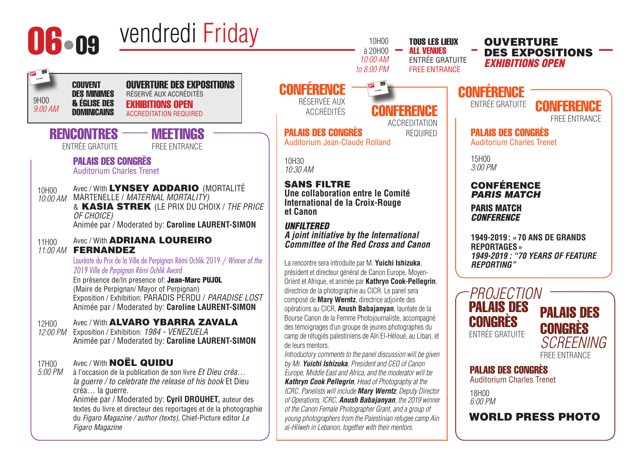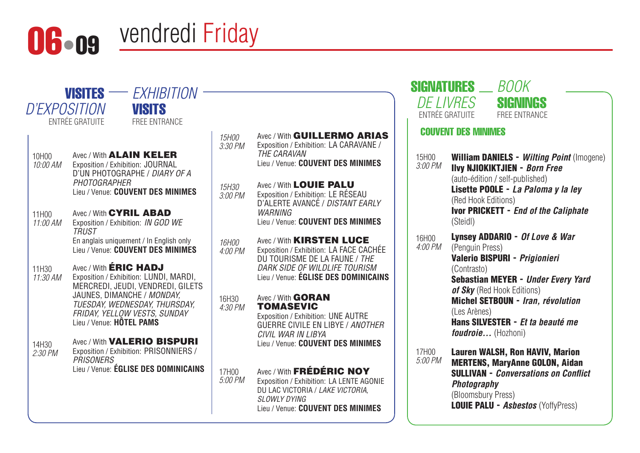



- 10H00 *10:00 AM*  Avec / With **ALAIN KELER** Exposition / Exhibition: JOURNAL D'UN PHOTOGRAPHE / *DIARY OF A PHOTOGRAPHER* Lieu / Venue: **COUVENT DES MINIMES**
- 11H00 *11:00 AM*  Exposition / Exhibition: *IN GOD WE*  Avec / With CYRIL ABAD *TRUST* En anglais uniquement / In English only Lieu / Venue: **COUVENT DES MINIMES**
- 11H30 *11:30 AM*  Avec / With **ÉRIC HADJ** Exposition / Exhibition: LUNDI, MARDI, MERCREDI, JEUDI, VENDREDI, GILETS JAUNES, DIMANCHE / *MONDAY, TUESDAY, WEDNESDAY, THURSDAY, FRIDAY, YELLOW VESTS, SUNDAY* Lieu / Venue: **HÔTEL PAMS**
- 14H30 *2:30 PM*  Avec / With **VALERIO BISPURI** Exposition / Exhibition: PRISONNIERS / *PRISONERS* Lieu / Venue: **ÉGLISE DES DOMINICAINS** | 17H00
- *5:00 PM*  Avec / With FRÉDÉRIC NOY Exposition / Exhibition: LA LENTE AGONIE DU LAC VICTORIA / *LAKE VICTORIA, SLOWLY DYING* Lieu / Venue: **COUVENT DES MINIMES** *16H00 4:00 PM*  Avec / With **KIRSTEN LUCE** Exposition / Exhibition: LA FACE CACHÉE DU TOURISME DE LA FAUNE / *THE DARK SIDE OF WILDLIFE TOURISM* Lieu / Venue: **ÉGLISE DES DOMINICAINS** 16H30 *4:30 PM*  Avec / With GORAN **TOMASEVIC** Exposition / Exhibition: UNE AUTRE GUERRE CIVILE EN LIBYE / *ANOTHER CIVIL WAR IN LIBYA* Lieu / Venue: **COUVENT DES MINIMES** *3:30 PM*  Avec / With GUILLERMO ARIAS Exposition / Exhibition: LA CARAVANE / *THE CARAVAN* Lieu / Venue: **COUVENT DES MINIMES** *15H30 3:00 PM*  Avec / With LOUIE PALU Exposition / Exhibition: LE RÉSEAU D'ALERTE AVANCÉ / *DISTANT EARLY WARNING* Lieu / Venue: **COUVENT DES MINIMES**

|                         | <b>SIGNATURES</b> _ <i>BOOK</i>                                                                                                                                                                                                                                                                        |
|-------------------------|--------------------------------------------------------------------------------------------------------------------------------------------------------------------------------------------------------------------------------------------------------------------------------------------------------|
|                         | <i>DE LIVRES</i><br>SIGNINGS<br><b>FNTRÉE GRATUITE</b><br><b>FRFF FNTRANCF</b>                                                                                                                                                                                                                         |
|                         | <b>COUVENT DES MINIMES</b>                                                                                                                                                                                                                                                                             |
| 15H00<br>3:00 PM        | <b>William DANIELS - Wilting Point (Imogene)</b><br><b>Ilvy NJIOKIKTJIEN - Born Free</b><br>(auto-édition / self-published)<br>Lisette POOLE - La Paloma y la ley<br>(Red Hook Editions)<br><b>Ivor PRICKETT - End of the Caliphate</b><br>(Steidl)                                                    |
| 16H00<br><i>4:00 PM</i> | <b>Lynsey ADDARIO - Of Love &amp; War</b><br>(Penguin Press)<br>Valerio BISPURI - Prigionieri<br>(Contrasto)<br>Sebastian MEYER - Under Every Yard<br>of Sky (Red Hook Editions)<br>Michel SETBOUN - Iran, révolution<br>(Les Arènes)<br><b>Hans SILVESTER</b> - Et ta beauté me<br>foudroie (Hozhoni) |
| 17H00<br>5:00 PM        | <b>Lauren WALSH, Ron HAVIV, Marion</b><br><b>MERTENS, MaryAnne GOLON, Aidan</b><br><b>SULLIVAN - Conversations on Conflict</b><br>Photography<br>(Bloomsbury Press)<br><b>LOUIE PALU - Asbestos (YoffyPress)</b>                                                                                       |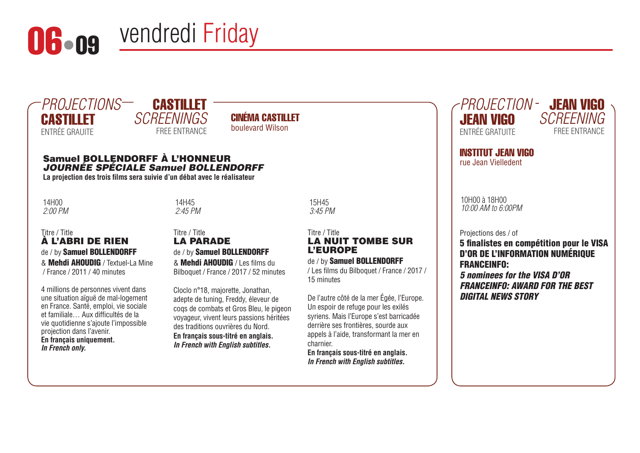



## CASTILLET *SCREENINGS* FREE ENTRANCE

CINÉMA CASTILLET boulevard Wilson

## Samuel Bollendorff à l'honneur *Journée spéciale Samuel Bollendorff*

**La projection des trois films sera suivie d'un débat avec le réalisateur**

14H00 *2:00 PM*  14H45 *2:45 PM* 

### Titre / Title À l'abri de rien de / by Samuel BOLLENDORFF & Mehdi Ahoudig / Textuel-La Mine / France / 2011 / 40 minutes

4 millions de personnes vivent dans une situation aïguë de mal-logement en France. Santé, emploi, vie sociale et familiale… Aux difficultés de la vie quotidienne s'ajoute l'impossible projection dans l'avenir. **En français uniquement.**  *In French only.*

### Titre / Title La parade de / by Samuel BOLLENDORFF

& Mehdi Ahoudig / Les films du Bilboquet / France / 2017 / 52 minutes

Cloclo n°18, majorette, Jonathan, adepte de tuning, Freddy, éleveur de coqs de combats et Gros Bleu, le pigeon voyageur, vivent leurs passions héritées des traditions ouvrières du Nord. **En français sous-titré en anglais.** *In French with English subtitles.*

### Titre / Title La nuit tombe sur l'Europe

## de / by Samuel BOLLENDORFF

15H45 *3:45 PM* 

/ Les films du Bilboquet / France / 2017 / 15 minutes

De l'autre côté de la mer Égée, l'Europe. Un espoir de refuge pour les exilés syriens. Mais l'Europe s'est barricadée derrière ses frontières, sourde aux appels à l'aide, transformant la mer en charnier.

**En français sous-titré en anglais.** *In French with English subtitles.*





INSTITUT JEAN VIGO rue Jean Vielledent

10H00 à 18H00 *10:00 AM to 6:00PM*

Projections des / of

5 finalistes en compétition pour le VISA D'OR DE L'INFORMATION NUMÉRIQUE FRANCEINFO:

*5 nominees for the VISA D'OR FRANCEINFO: AWARD FOR THE BEST DIGITAL NEWS STORY*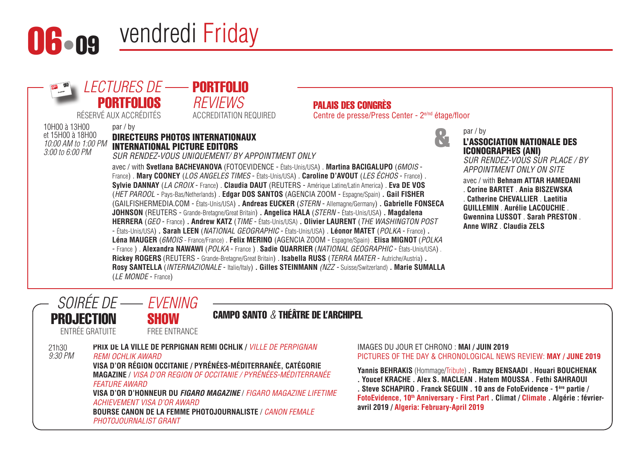



- États-Unis/USA) **. Sarah LEEN** (*NATIONAL GEOGRAPHIC* - États-Unis/USA) . **Léonor MATET** (*POLKA* - France) **. Léna MAUGER** (*6MOIS* - France/France) . **Felix MERINO** (AGENCIA ZOOM - Espagne/Spain) . **Elisa MIGNOT** (*POLKA* - France ) . **Alexandra NAWAWI** (*POLKA* - France ) . **Sadie QUARRIER** (*NATIONAL GEOGRAPHIC* - États-Unis/USA) . **Rickey ROGERS** (REUTERS - Grande-Bretagne/Great Britain) . **Isabella RUSS** (*TERRA MATER* - Autriche/Austria) **. Rosy SANTELLA** (*INTERNAZIONALE* - Italie/Italy) **. Gilles STEINMANN** *(NZZ -* Suisse/Switzerland) **. Marie SUMALLA**  (*LE MONDE* - France)

### par / by

&

L'ASSOCIATION NATIONALE DES ICONOGRAPHES (ANI)

*SUR RENDEZ-VOUS SUR PLACE / BY APPOINTMENT ONLY ON SITE* avec / with **Behnam ATTAR HAMEDANI** . **Corine BARTET** . **Ania BISZEWSKA** . **Catherine CHEVALLIER** . **Laetitia GUILLEMIN** . **Aurélie LACOUCHIE** . **Gwennina LUSSOT** . **Sarah PRESTON** .

**Anne WIRZ** . **Claudia ZELS**

#### *SOIRÉE DE EVENING* **PROJECTION SHOW**

CAMPO SANTO *&* THÉÂTRE DE L'ARCHIPEL

ENTRÉE GRATUITE

21h30

FREE ENTRANCE

*9:30 PM* **PRIX DE LA VILLE DE PERPIGNAN REMI OCHLIK /** *VILLE DE PERPIGNAN REMI OCHLIK AWARD* **VISA D'OR RÉGION OCCITANIE / PYRÉNÉES-MÉDITERRANÉE, CATÉGORIE MAGAZINE** / *VISA D'OR REGION OF OCCITANIE / PYRÉNÉES-MÉDITERRANÉE FEATURE AWARD* **VISA D'OR D'HONNEUR DU** *FIGARO MAGAZINE* / *FIGARO MAGAZINE LIFETIME ACHIEVEMENT VISA D'OR AWARD* **BOURSE CANON DE LA FEMME PHOTOJOURNALISTE** / *CANON FEMALE PHOTOJOURNALIST GRANT*

#### IMAGES DU JOUR ET CHRONO : **MAI / JUIN 2019** PICTURES OF THE DAY & CHRONOLOGICAL NEWS REVIEW: **MAY / JUNE 2019**

**Yannis BEHRAKIS** (Hommage/Tribute) **. Ramzy BENSAADI . Houari BOUCHENAK** 

**. Youcef KRACHE . Alex S. MACLEAN . Hatem MOUSSA . Fethi SAHRAOUI** 

**. Steve SCHAPIRO . Franck SEGUIN . 10 ans de FotoEvidence - 1ère partie /**  FotoEvidence, 10<sup>th</sup> Anniversary - First Part . Climat / Climate . Algérie : février**avril 2019 / Algeria: February-April 2019**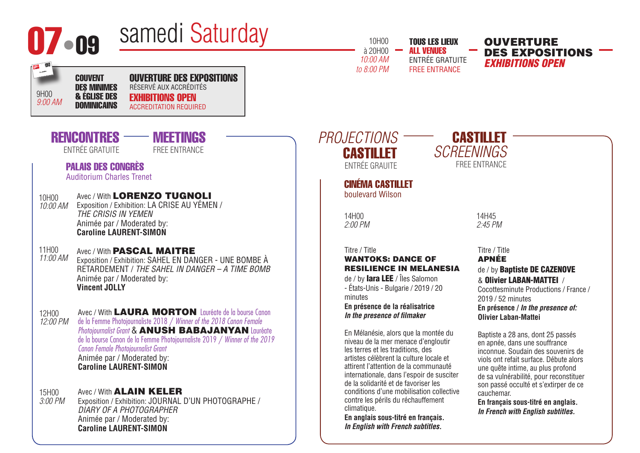